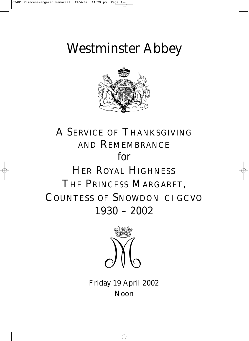# Westminster Abbey



## A SERVICE OF THANKSGIVING AND REMEMBRANCE for HER ROYAL HIGHNESS THE PRINCESS MARGARET, COUNTESS OF SNOWDON CI GCVO 1930 – 2002



Friday 19 April 2002 Noon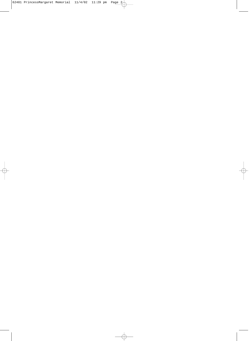$\overline{\mathrm{d}}$ 

 $\overline{\phantom{0}}$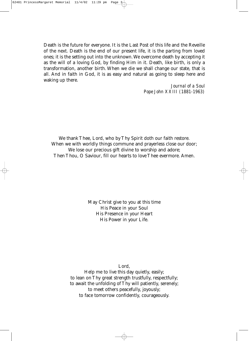Death is the future for everyone. It is the Last Post of this life and the Reveille of the next. Death is the end of our present life, it is the parting from loved ones; it is the setting out into the unknown.We overcome death by accepting it as the will of a loving God, by finding Him in it. Death, like birth, is only a transformation, another birth. When we die we shall change our state, that is all. And in faith in God, it is as easy and natural as going to sleep here and waking up there.

> *Journal of a Soul Pope John XXIII (1881-1963)*

We thank Thee, Lord, who by Thy Spirit doth our faith restore. When we with worldly things commune and prayerless close our door; We lose our precious gift divine to worship and adore; Then Thou, O Saviour, fill our hearts to love Thee evermore. Amen.

> May Christ give to you at this time His Peace in your Soul His Presence in your Heart His Power in your Life.

> > Lord,

Help me to live this day quietly, easily; to lean on Thy great strength trustfully, respectfully; to await the unfolding of Thy will patiently, serenely; to meet others peacefully, joyously; to face tomorrow confidently, courageously.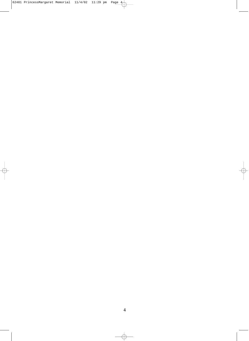$\overline{\mathrm{D}}$ 

 $\overline{\phantom{0}}$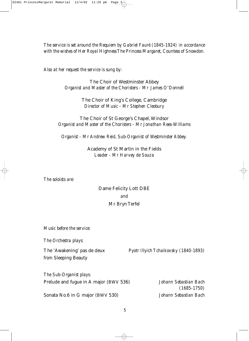*The service is set around the Requiem by Gabriel Fauré (1845-1924) in accordance with the wishes of Her Royal Highness The Princess Margaret, Countess of Snowdon.*

*Also at her request the service is sung by:*

The Choir of Westminster Abbey *Organist and Master of the Choristers - Mr James O'Donnell*

> The Choir of King's College, Cambridge *Director of Music - Mr Stephen Cleobury*

The Choir of St George's Chapel, Windsor *Organist and Master of the Choristers - Mr Jonathan Rees-Williams*

*Organist - Mr Andrew Reid, Sub-Organist of Westminster Abbey.*

Academy of St Martin in the Fields *Leader - Mr Harvey de Souza*

*The soloists are:*

Dame Felicity Lott DBE *and* Mr Bryn Terfel

*Music before the service:*

*The Orchestra plays:*

*from* Sleeping Beauty

The 'Awakening' pas de deux *Pyotr Illyich Tchaikovsky (1840-1893)*

*The Sub-Organist plays:* Prelude and fugue in A major (BWV 536) *Johann Sebastian Bach*

Sonata No.6 in G major (BWV 530) *Johann Sebastian Bach*

*(1685-1750)*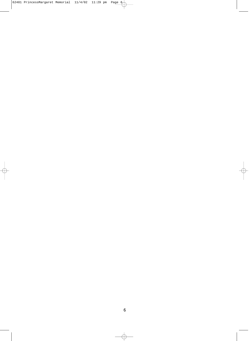$\overline{\mathrm{D}}$ 

 $\overline{\phantom{0}}$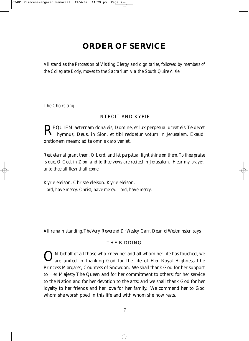### **ORDER OF SERVICE**

*All stand as the Procession of Visiting Clergy and dignitaries, followed by members of the Collegiate Body, moves to the Sacrarium via the South Quire Aisle.*

*The Choirs sing*

#### INTROIT AND KYRIE

REQUIEM aeternam dona eis, Domine, et lux perpetua luceat eis. Te decet<br>In hymnus, Deus, in Sion, et tibi reddetur votum in Jerusalem. Exaudi orationem meam; ad te omnis caro veniet.

*Rest eternal grant them, O Lord, and let perpetual light shine on them.To thee praise is due, O God, in Zion, and to thee vows are recited in Jerusalem. Hear my prayer; unto thee all flesh shall come.*

Kyrie eleison. Christe eleison. Kyrie eleison. *Lord, have mercy. Christ, have mercy. Lord, have mercy.*

*All remain standing.The Very Reverend Dr Wesley Carr, Dean of Westminster, says*

#### THE BIDDING

 $\mathbf{O}^{\text{N}}$  behalf of all those who knew her and all whom her life has touched, we are united in thanking God for the life of Her Royal Highness The Princess Margaret, Countess of Snowdon. We shall thank God for her support to Her Majesty The Queen and for her commitment to others; for her service to the Nation and for her devotion to the arts; and we shall thank God for her loyalty to her friends and her love for her family. We commend her to God whom she worshipped in this life and with whom she now rests.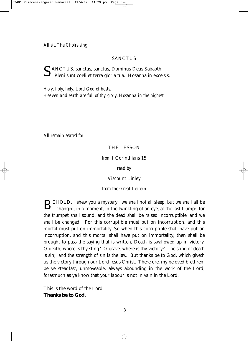*All sit.The Choirs sing*

#### SANCTUS

SANCTUS, sanctus, sanctus, Dominus Deus Sabaoth.<br>Pleni sunt coeli et terra gloria tua. Hosanna in excelsis.

*Holy, holy, holy, Lord God of hosts. Heaven and earth are full of thy glory. Hosanna in the highest.*

*All remain seated for*

#### THE LESSON

*from* I Corinthians 15

*read by*

Viscount Linley

*from the Great Lectern*

BEHOLD, I shew you a mystery; we shall not all sleep, but we shall all be changed, in a moment, in the twinkling of an eye, at the last trump: for the trumpet shall sound, and the dead shall be raised incorruptible, and we shall be changed. For this corruptible must put on incorruption, and this mortal must put on immortality. So when this corruptible shall have put on incorruption, and this mortal shall have put on immortality, then shall be brought to pass the saying that is written, Death is swallowed up in victory. O death, where is thy sting? O grave, where is thy victory? The sting of death is sin; and the strength of sin is the law. But thanks be to God, which giveth us the victory through our Lord Jesus Christ. Therefore, my beloved brethren, be ye steadfast, unmoveable, always abounding in the work of the Lord, forasmuch as ye know that your labour is not in vain in the Lord.

This is the word of the Lord. **Thanks be to God.**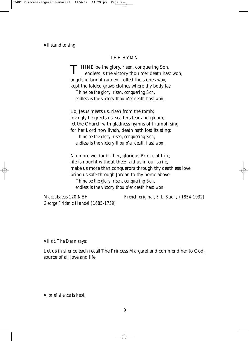#### *All stand to sing*

#### THE HYMN

**HINE** be the glory, risen, conquering Son, endless is the victory thou o'er death hast won; angels in bright raiment rolled the stone away, kept the folded grave-clothes where thy body lay. *Thine be the glory, risen, conquering Son, endless is the victory thou o'er death hast won.*

Lo, Jesus meets us, risen from the tomb; lovingly he greets us, scatters fear and gloom; let the Church with gladness hymns of triumph sing, for her Lord now liveth, death hath lost its sting: *Thine be the glory, risen, conquering Son, endless is the victory thou o'er death hast won.*

No more we doubt thee, glorious Prince of Life; life is nought without thee: aid us in our strife, make us more than conquerors through thy deathless love; bring us safe through Jordan to thy home above: *Thine be the glory, risen, conquering Son, endless is the victory thou o'er death hast won.*

*George Frideric Handel (1685-1759)*

*Maccabaeus 120 NEH French original, E L Budry (1854-1932)*

*All sit.The Dean says:*

Let us in silence each recall The Princess Margaret and commend her to God, source of all love and life.

*A brief silence is kept.*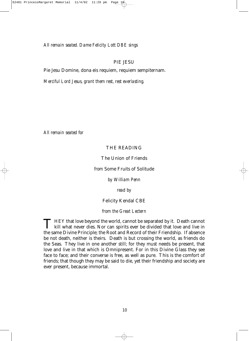*All remain seated. Dame Felicity Lott DBE sings*

#### PIE JESU

Pie Jesu Domine, dona eis requiem, requiem sempiternam.

*Merciful Lord Jesus, grant them rest, rest everlasting.*

*All remain seated for*

#### THE READING

The Union of Friends

#### *from* Some Fruits of Solitude

*by William Penn*

*read by*

#### Felicity Kendal CBE

#### *from the Great Lectern*

HEY that love beyond the world, cannot be separated by it. Death cannot  $\mathsf L$  kill what never dies. Nor can spirits ever be divided that love and live in the same Divine Principle; the Root and Record of their Friendship. If absence be not death, neither is theirs. Death is but crossing the world, as friends do the Seas. They live in one another still; for they must needs be present, that love and live in that which is Omnipresent. For in this Divine Glass they see face to face; and their converse is free, as well as pure. This is the comfort of friends; that though they may be said to die, yet their friendship and society are ever present, because immortal.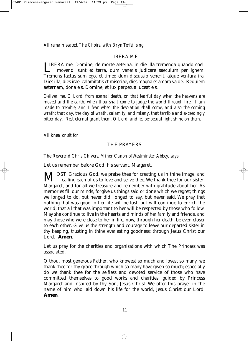*All remain seated.The Choirs, with Bryn Terfel, sing*

#### LIBERA ME

ILBERA me, Domine, de morte aeterna, in die illa tremenda quando coeli<br>movendi sunt et terra, dum veneris judicare saeculum per ignem. movendi sunt et terra, dum veneris judicare saeculum per ignem. Tremens factus sum ego, et timeo dum discussio venerit, atque ventura ira. Dies illa, dies irae, calamitatis et miseriae, dies magna et amara valde. Requiem aeternam, dona eis, Domine, et lux perpetua luceat eis.

*Deliver me, O Lord, from eternal death, on that fearful day when the heavens are moved and the earth, when thou shalt come to judge the world through fire. I am made to tremble, and I fear when the desolation shall come, and also the coming wrath; that day, the day of wrath, calamity, and misery, that terrible and exceedingly bitter day. Rest eternal grant them, O Lord, and let perpetual light shine on them.*

*All kneel or sit for*

#### THE PRAYERS

*The Reverend Chris Chivers, Minor Canon of Westminster Abbey, says:*

Let us remember before God, his servant, Margaret.

OST Gracious God, we praise thee for creating us in thine image, and calling each of us to love and serve thee. We thank thee for our sister, Margaret, and for all we treasure and remember with gratitude about her. As memories fill our minds, forgive us things said or done which we regret; things we longed to do, but never did, longed to say, but never said. We pray that nothing that was good in her life will be lost, but will continue to enrich the world; that all that was important to her will be respected by those who follow. May she continue to live in the hearts and minds of her family and friends, and may those who were close to her in life, now, through her death, be even closer to each other. Give us the strength and courage to leave our departed sister in thy keeping, trusting in thine everlasting goodness; through Jesus Christ our Lord. **Amen**.

Let us pray for the charities and organisations with which The Princess was associated.

O thou, most generous Father, who knowest so much and lovest so many, we thank thee for thy grace through which so many have given so much; especially do we thank thee for the selfless and devoted service of those who have committed themselves to good works and charities, guided by Princess Margaret and inspired by thy Son, Jesus Christ. We offer this prayer in the name of him who laid down his life for the world, Jesus Christ our Lord. **Amen**.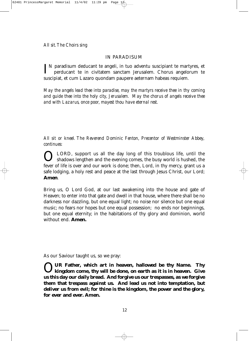*All sit.The Choirs sing*

#### IN PARADISUM

IN paradisum deducant te angeli, in tuo adventu suscipiant te martyres, et perducant te in civitatem sanctam Jerusalem. Chorus angelorum te perducant te in civitatem sanctam Jerusalem. Chorus angelorum te suscipiat, et cum Lazaro quondam paupere aeternam habeas requiem.

*May the angels lead thee into paradise, may the martyrs receive thee in thy coming and guide thee into the holy city, Jerusalem. May the chorus of angels receive thee and with Lazarus, once poor, mayest thou have eternal rest.*

*All sit or kneel. The Reverend Dominic Fenton, Precentor of Westminster Abbey, continues:*

LORD, support us all the day long of this troublous life, until the shadows lengthen and the evening comes, the busy world is hushed, the fever of life is over and our work is done; then, Lord, in thy mercy, grant us a safe lodging, a holy rest and peace at the last through Jesus Christ, our Lord; **Amen**.

Bring us, O Lord God, at our last awakening into the house and gate of Heaven; to enter into that gate and dwell in that house, where there shall be no darkness nor dazzling, but one equal light; no noise nor silence but one equal music; no fears nor hopes but one equal possession; no ends nor beginnings, but one equal eternity; in the habitations of thy glory and dominion, world without end. **Amen.**

As our Saviour taught us, so we pray:

O**UR Father, which art in heaven, hallowed be thy Name. Thy kingdom come, thy will be done, on earth as it is in heaven. Give us this day our daily bread. And forgive us our trespasses, as we forgive them that trespass against us. And lead us not into temptation, but deliver us from evil; for thine is the kingdom, the power and the glory, for ever and ever. Amen.**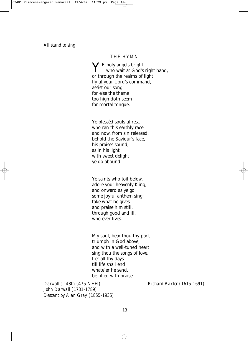#### *All stand to sing*

#### THE HYMN

 $\angle$  E holy angels bright, who wait at God's right hand, or through the realms of light fly at your Lord's command, assist our song, for else the theme too high doth seem for mortal tongue.

Ye blessèd souls at rest, who ran this earthly race, and now, from sin released, behold the Saviour's face, his praises sound, as in his light with sweet delight ye do abound.

Ye saints who toil below, adore your heavenly King, and onward as ye go some joyful anthem sing; take what he gives and praise him still, through good and ill, who ever lives.

My soul, bear thou thy part, triumph in God above, and with a well-tuned heart sing thou the songs of love. Let all thy days till life shall end whate'er he send, be filled with praise.

*Darwall's 148th* (475 NEH) *Richard Baxter (1615-1691) John Darwall (1731-1789) Descant by Alan Gray (1855-1935)*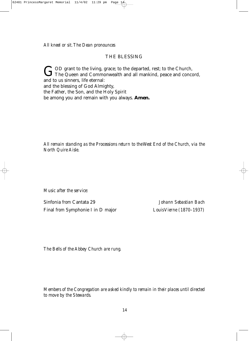*All kneel or sit.The Dean pronounces*

#### THE BLESSING

GOD grant to the living, grace; to the departed, rest; to the Church, The Queen and Commonwealth and all mankind, peace and concord, and to us sinners, life eternal: and the blessing of God Almighty, the Father, the Son, and the Holy Spirit be among you and remain with you always. **Amen.**

*All remain standing as the Processions return to the West End of the Church, via the North Quire Aisle.*

*Music after the service:*

Sinfonia *from* Cantata 29 *Johann Sebastian Bach* Final *from* Symphonie I in D major *Louis Vierne (1870–1937)*

*The Bells of the Abbey Church are rung.*

*Members of the Congregation are asked kindly to remain in their places until directed to move by the Stewards.*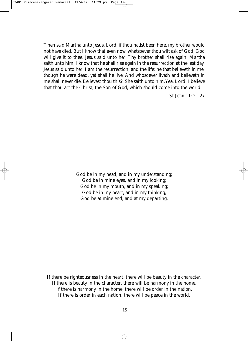Then said Martha unto Jesus, Lord, if thou hadst been here, my brother would not have died. But I know that even now, whatsoever thou wilt ask of God, God will give it to thee. Jesus said unto her, Thy brother shall rise again. Martha saith unto him, I know that he shall rise again in the resurrection at the last day. Jesus said unto her, I am the resurrection, and the life: he that believeth in me, though he were dead, yet shall he live: And whosoever liveth and believeth in me shall never die. Believest thou this? She saith unto him,Yea, Lord: I believe that thou art the Christ, the Son of God, which should come into the world.

*St John 11: 21-27*

God be in my head, and in my understanding; God be in mine eyes, and in my looking; God be in my mouth, and in my speaking; God be in my heart, and in my thinking; God be at mine end; and at my departing.

If there be righteousness in the heart, there will be beauty in the character. If there is beauty in the character, there will be harmony in the home. If there is harmony in the home, there will be order in the nation. If there is order in each nation, there will be peace in the world.